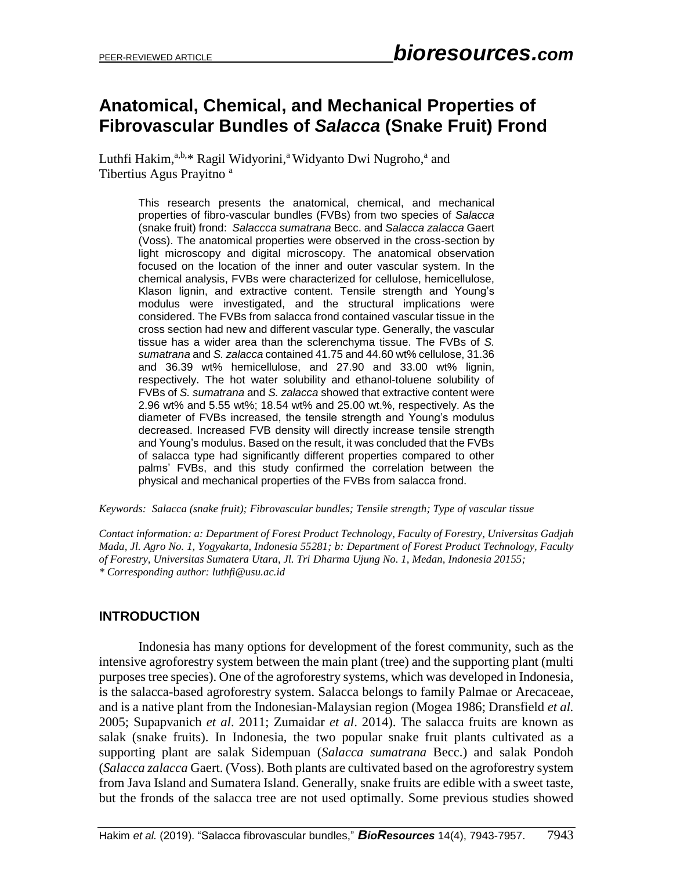# **Anatomical, Chemical, and Mechanical Properties of Fibrovascular Bundles of** *Salacca* **(Snake Fruit) Frond**

Luthfi Hakim,<sup>a,b,\*</sup> [Ragil](http://www.yourlinkhere.edu/) Widyorini,<sup>a</sup> Widyanto Dwi Nugroho,<sup>a</sup> and Tibertius Agus Prayitno <sup>a</sup>

> This research presents the anatomical, chemical, and mechanical properties of fibro-vascular bundles (FVBs) from two species of *Salacca* (snake fruit) frond: *Salaccca sumatrana* Becc. and *Salacca zalacca* Gaert (Voss). The anatomical properties were observed in the cross-section by light microscopy and digital microscopy. The anatomical observation focused on the location of the inner and outer vascular system. In the chemical analysis, FVBs were characterized for cellulose, hemicellulose, Klason lignin, and extractive content. Tensile strength and Young's modulus were investigated, and the structural implications were considered. The FVBs from salacca frond contained vascular tissue in the cross section had new and different vascular type. Generally, the vascular tissue has a wider area than the sclerenchyma tissue. The FVBs of *S. sumatrana* and *S. zalacca* contained 41.75 and 44.60 wt% cellulose, 31.36 and 36.39 wt% hemicellulose, and 27.90 and 33.00 wt% lignin, respectively. The hot water solubility and ethanol-toluene solubility of FVBs of *S. sumatrana* and *S. zalacca* showed that extractive content were 2.96 wt% and 5.55 wt%; 18.54 wt% and 25.00 wt.%, respectively. As the diameter of FVBs increased, the tensile strength and Young's modulus decreased. Increased FVB density will directly increase tensile strength and Young's modulus. Based on the result, it was concluded that the FVBs of salacca type had significantly different properties compared to other palms' FVBs, and this study confirmed the correlation between the physical and mechanical properties of the FVBs from salacca frond.

#### *Keywords: Salacca (snake fruit); Fibrovascular bundles; Tensile strength; Type of vascular tissue*

*Contact information: a: Department of Forest Product Technology, Faculty of Forestry, Universitas Gadjah Mada, Jl. Agro No. 1, Yogyakarta, Indonesia 55281; b: Department of Forest Product Technology, Faculty of Forestry, Universitas Sumatera Utara, Jl. Tri Dharma Ujung No. 1, Medan, Indonesia 20155; \* Corresponding author: luthfi@usu.ac.id* 

### **INTRODUCTION**

Indonesia has many options for development of the forest community, such as the intensive agroforestry system between the main plant (tree) and the supporting plant (multi purposes tree species). One of the agroforestry systems, which was developed in Indonesia, is the salacca-based agroforestry system. Salacca belongs to family Palmae or Arecaceae, and is a native plant from the Indonesian-Malaysian region (Mogea 1986; Dransfield *et al.* 2005; Supapvanich *et al*. 2011; Zumaidar *et al*. 2014). The salacca fruits are known as salak (snake fruits). In Indonesia, the two popular snake fruit plants cultivated as a supporting plant are salak Sidempuan (*Salacca sumatrana* Becc.) and salak Pondoh (*Salacca zalacca* Gaert. (Voss). Both plants are cultivated based on the agroforestry system from Java Island and Sumatera Island. Generally, snake fruits are edible with a sweet taste, but the fronds of the salacca tree are not used optimally. Some previous studies showed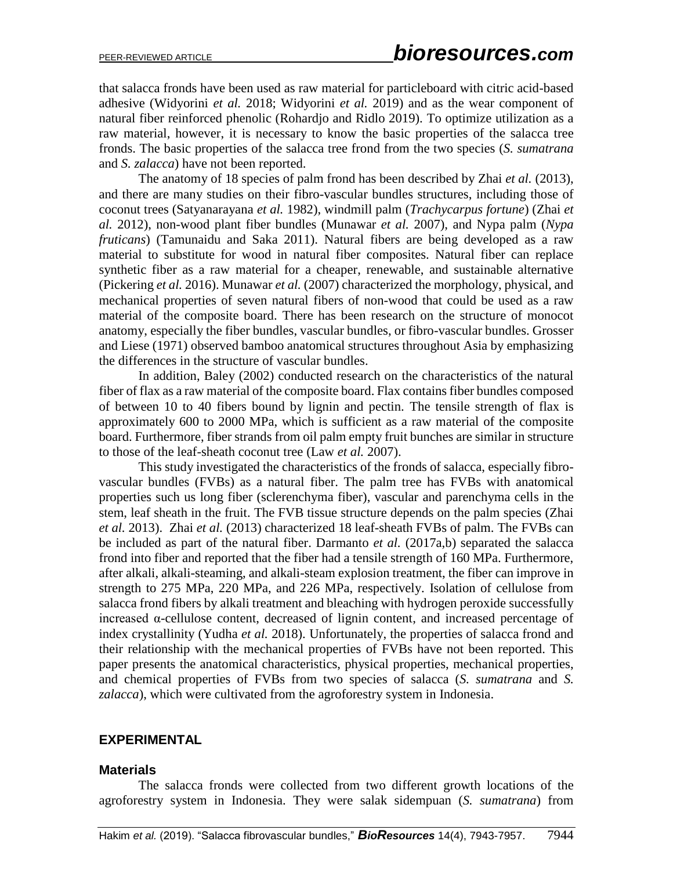that salacca fronds have been used as raw material for particleboard with citric acid-based adhesive (Widyorini *et al.* 2018; Widyorini *et al.* 2019) and as the wear component of natural fiber reinforced phenolic (Rohardjo and Ridlo 2019). To optimize utilization as a raw material, however, it is necessary to know the basic properties of the salacca tree fronds. The basic properties of the salacca tree frond from the two species (*S. sumatrana*  and *S. zalacca*) have not been reported.

The anatomy of 18 species of palm frond has been described by Zhai *et al.* (2013), and there are many studies on their fibro-vascular bundles structures, including those of coconut trees (Satyanarayana *et al.* 1982), windmill palm (*Trachycarpus fortune*) (Zhai *et al.* 2012), non-wood plant fiber bundles (Munawar *et al.* 2007), and Nypa palm (*Nypa fruticans*) (Tamunaidu and Saka 2011). Natural fibers are being developed as a raw material to substitute for wood in natural fiber composites. Natural fiber can replace synthetic fiber as a raw material for a cheaper, renewable, and sustainable alternative (Pickering *et al.* 2016). Munawar *et al.* (2007) characterized the morphology, physical, and mechanical properties of seven natural fibers of non-wood that could be used as a raw material of the composite board. There has been research on the structure of monocot anatomy, especially the fiber bundles, vascular bundles, or fibro-vascular bundles. Grosser and Liese (1971) observed bamboo anatomical structures throughout Asia by emphasizing the differences in the structure of vascular bundles.

In addition, Baley (2002) conducted research on the characteristics of the natural fiber of flax as a raw material of the composite board. Flax contains fiber bundles composed of between 10 to 40 fibers bound by lignin and pectin. The tensile strength of flax is approximately 600 to 2000 MPa, which is sufficient as a raw material of the composite board. Furthermore, fiber strands from oil palm empty fruit bunches are similar in structure to those of the leaf-sheath coconut tree (Law *et al.* 2007).

This study investigated the characteristics of the fronds of salacca, especially fibrovascular bundles (FVBs) as a natural fiber. The palm tree has FVBs with anatomical properties such us long fiber (sclerenchyma fiber), vascular and parenchyma cells in the stem, leaf sheath in the fruit. The FVB tissue structure depends on the palm species (Zhai *et al.* 2013). Zhai *et al.* (2013) characterized 18 leaf-sheath FVBs of palm. The FVBs can be included as part of the natural fiber. Darmanto *et al.* (2017a,b) separated the salacca frond into fiber and reported that the fiber had a tensile strength of 160 MPa. Furthermore, after alkali, alkali-steaming, and alkali-steam explosion treatment, the fiber can improve in strength to 275 MPa, 220 MPa, and 226 MPa, respectively. Isolation of cellulose from salacca frond fibers by alkali treatment and bleaching with hydrogen peroxide successfully increased α-cellulose content, decreased of lignin content, and increased percentage of index crystallinity (Yudha *et al.* 2018). Unfortunately, the properties of salacca frond and their relationship with the mechanical properties of FVBs have not been reported. This paper presents the anatomical characteristics, physical properties, mechanical properties, and chemical properties of FVBs from two species of salacca (*S. sumatrana* and *S. zalacca*), which were cultivated from the agroforestry system in Indonesia.

### **EXPERIMENTAL**

#### **Materials**

The salacca fronds were collected from two different growth locations of the agroforestry system in Indonesia. They were salak sidempuan (*S. sumatrana*) from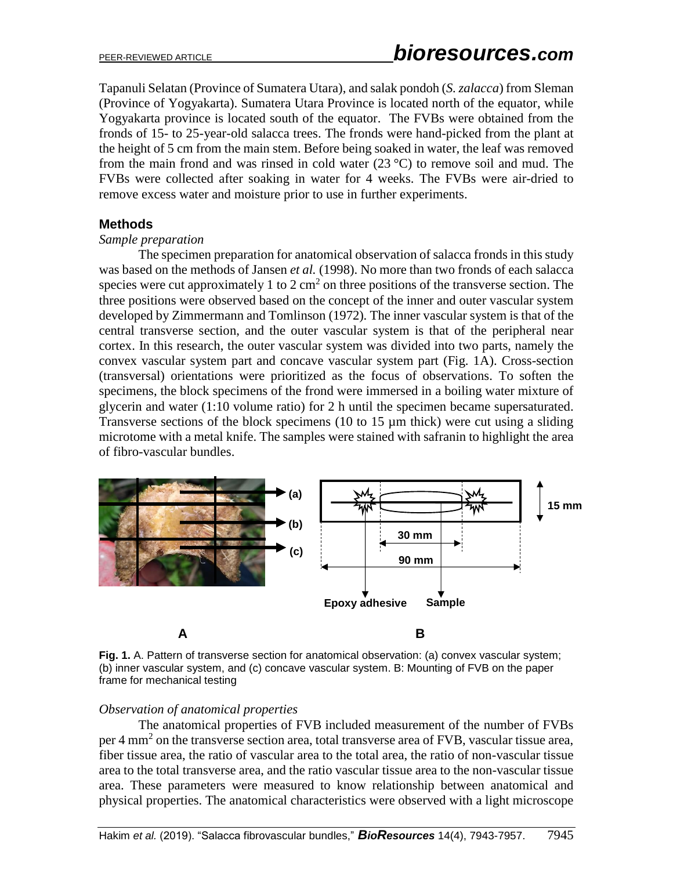Tapanuli Selatan (Province of Sumatera Utara), and salak pondoh (*S. zalacca*) from Sleman (Province of Yogyakarta). Sumatera Utara Province is located north of the equator, while Yogyakarta province is located south of the equator. The FVBs were obtained from the fronds of 15- to 25-year-old salacca trees. The fronds were hand-picked from the plant at the height of 5 cm from the main stem. Before being soaked in water, the leaf was removed from the main frond and was rinsed in cold water  $(23 \degree C)$  to remove soil and mud. The FVBs were collected after soaking in water for 4 weeks. The FVBs were air-dried to remove excess water and moisture prior to use in further experiments.

## **Methods**

#### *Sample preparation*

The specimen preparation for anatomical observation of salacca fronds in this study was based on the methods of Jansen *et al.* (1998). No more than two fronds of each salacca species were cut approximately 1 to 2 cm<sup>2</sup> on three positions of the transverse section. The three positions were observed based on the concept of the inner and outer vascular system developed by Zimmermann and Tomlinson (1972). The inner vascular system is that of the central transverse section, and the outer vascular system is that of the peripheral near cortex. In this research, the outer vascular system was divided into two parts, namely the convex vascular system part and concave vascular system part (Fig. 1A). Cross-section (transversal) orientations were prioritized as the focus of observations. To soften the specimens, the block specimens of the frond were immersed in a boiling water mixture of glycerin and water (1:10 volume ratio) for 2 h until the specimen became supersaturated. Transverse sections of the block specimens (10 to 15 µm thick) were cut using a sliding microtome with a metal knife. The samples were stained with safranin to highlight the area of fibro-vascular bundles.



**Fig. 1.** A. Pattern of transverse section for anatomical observation: (a) convex vascular system; (b) inner vascular system, and (c) concave vascular system. B: Mounting of FVB on the paper frame for mechanical testing

### *Observation of anatomical properties*

The anatomical properties of FVB included measurement of the number of FVBs per 4 mm<sup>2</sup> on the transverse section area, total transverse area of FVB, vascular tissue area, fiber tissue area, the ratio of vascular area to the total area, the ratio of non-vascular tissue area to the total transverse area, and the ratio vascular tissue area to the non-vascular tissue area. These parameters were measured to know relationship between anatomical and physical properties. The anatomical characteristics were observed with a light microscope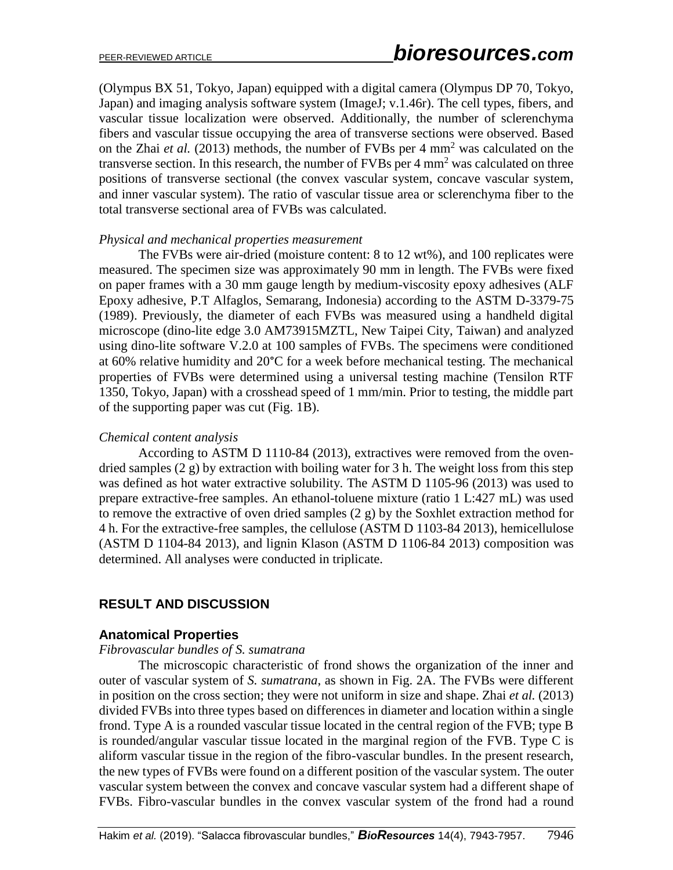(Olympus BX 51, Tokyo, Japan) equipped with a digital camera (Olympus DP 70, Tokyo, Japan) and imaging analysis software system (ImageJ; v.1.46r). The cell types, fibers, and vascular tissue localization were observed. Additionally, the number of sclerenchyma fibers and vascular tissue occupying the area of transverse sections were observed. Based on the Zhai *et al.* (2013) methods, the number of FVBs per 4 mm<sup>2</sup> was calculated on the transverse section. In this research, the number of FVBs per  $4 \text{ mm}^2$  was calculated on three positions of transverse sectional (the convex vascular system, concave vascular system, and inner vascular system). The ratio of vascular tissue area or sclerenchyma fiber to the total transverse sectional area of FVBs was calculated.

#### *Physical and mechanical properties measurement*

The FVBs were air-dried (moisture content: 8 to 12 wt%), and 100 replicates were measured. The specimen size was approximately 90 mm in length. The FVBs were fixed on paper frames with a 30 mm gauge length by medium-viscosity epoxy adhesives (ALF Epoxy adhesive, P.T Alfaglos, Semarang, Indonesia) according to the ASTM D-3379-75 (1989). Previously, the diameter of each FVBs was measured using a handheld digital microscope (dino-lite edge 3.0 AM73915MZTL, New Taipei City, Taiwan) and analyzed using dino-lite software V.2.0 at 100 samples of FVBs. The specimens were conditioned at 60% relative humidity and 20°C for a week before mechanical testing. The mechanical properties of FVBs were determined using a universal testing machine (Tensilon RTF 1350, Tokyo, Japan) with a crosshead speed of 1 mm/min. Prior to testing, the middle part of the supporting paper was cut (Fig. 1B).

### *Chemical content analysis*

According to ASTM D 1110-84 (2013), extractives were removed from the ovendried samples (2 g) by extraction with boiling water for 3 h. The weight loss from this step was defined as hot water extractive solubility. The ASTM D 1105-96 (2013) was used to prepare extractive-free samples. An ethanol-toluene mixture (ratio 1 L:427 mL) was used to remove the extractive of oven dried samples (2 g) by the Soxhlet extraction method for 4 h. For the extractive-free samples, the cellulose (ASTM D 1103-84 2013), hemicellulose (ASTM D 1104-84 2013), and lignin Klason (ASTM D 1106-84 2013) composition was determined. All analyses were conducted in triplicate.

# **RESULT AND DISCUSSION**

### **Anatomical Properties**

#### *Fibrovascular bundles of S. sumatrana*

The microscopic characteristic of frond shows the organization of the inner and outer of vascular system of *S. sumatrana*, as shown in Fig. 2A. The FVBs were different in position on the cross section; they were not uniform in size and shape. Zhai *et al.* (2013) divided FVBs into three types based on differences in diameter and location within a single frond. Type A is a rounded vascular tissue located in the central region of the FVB; type B is rounded/angular vascular tissue located in the marginal region of the FVB. Type C is aliform vascular tissue in the region of the fibro-vascular bundles. In the present research, the new types of FVBs were found on a different position of the vascular system. The outer vascular system between the convex and concave vascular system had a different shape of FVBs. Fibro-vascular bundles in the convex vascular system of the frond had a round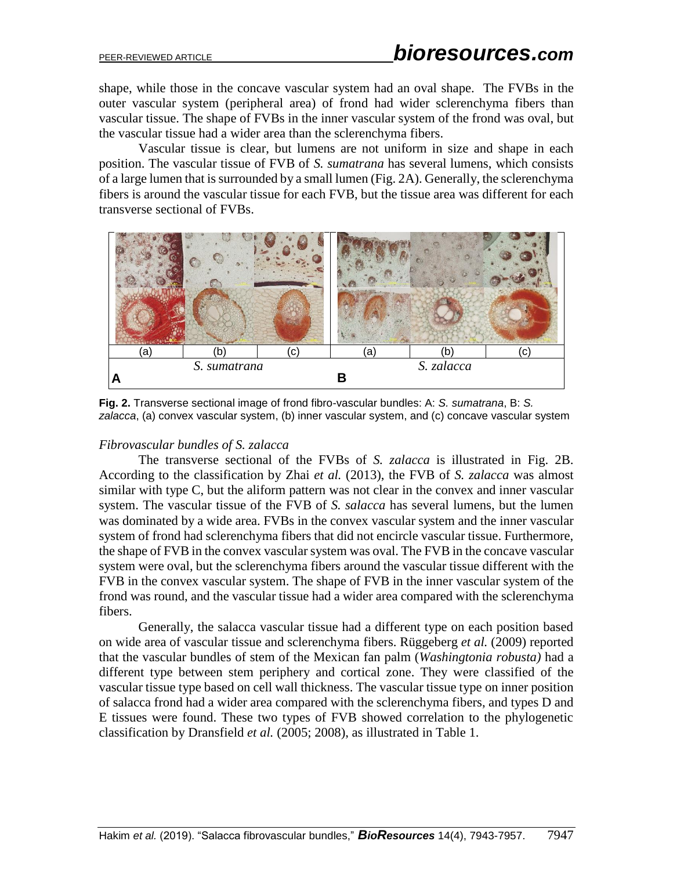shape, while those in the concave vascular system had an oval shape. The FVBs in the outer vascular system (peripheral area) of frond had wider sclerenchyma fibers than vascular tissue. The shape of FVBs in the inner vascular system of the frond was oval, but the vascular tissue had a wider area than the sclerenchyma fibers.

Vascular tissue is clear, but lumens are not uniform in size and shape in each position. The vascular tissue of FVB of *S. sumatrana* has several lumens, which consists of a large lumen that is surrounded by a small lumen (Fig. 2A). Generally, the sclerenchyma fibers is around the vascular tissue for each FVB, but the tissue area was different for each transverse sectional of FVBs.



**Fig. 2.** Transverse sectional image of frond fibro-vascular bundles: A: *S. sumatrana*, B: *S. zalacca*, (a) convex vascular system, (b) inner vascular system, and (c) concave vascular system

# *Fibrovascular bundles of S. zalacca*

The transverse sectional of the FVBs of *S. zalacca* is illustrated in Fig. 2B. According to the classification by Zhai *et al.* (2013), the FVB of *S. zalacca* was almost similar with type C, but the aliform pattern was not clear in the convex and inner vascular system. The vascular tissue of the FVB of *S. salacca* has several lumens, but the lumen was dominated by a wide area. FVBs in the convex vascular system and the inner vascular system of frond had sclerenchyma fibers that did not encircle vascular tissue. Furthermore, the shape of FVB in the convex vascular system was oval. The FVB in the concave vascular system were oval, but the sclerenchyma fibers around the vascular tissue different with the FVB in the convex vascular system. The shape of FVB in the inner vascular system of the frond was round, and the vascular tissue had a wider area compared with the sclerenchyma fibers.

Generally, the salacca vascular tissue had a different type on each position based on wide area of vascular tissue and sclerenchyma fibers. Rüggeberg *et al.* (2009) reported that the vascular bundles of stem of the Mexican fan palm (*Washingtonia robusta)* had a different type between stem periphery and cortical zone. They were classified of the vascular tissue type based on cell wall thickness. The vascular tissue type on inner position of salacca frond had a wider area compared with the sclerenchyma fibers, and types D and E tissues were found. These two types of FVB showed correlation to the phylogenetic classification by Dransfield *et al.* (2005; 2008), as illustrated in Table 1.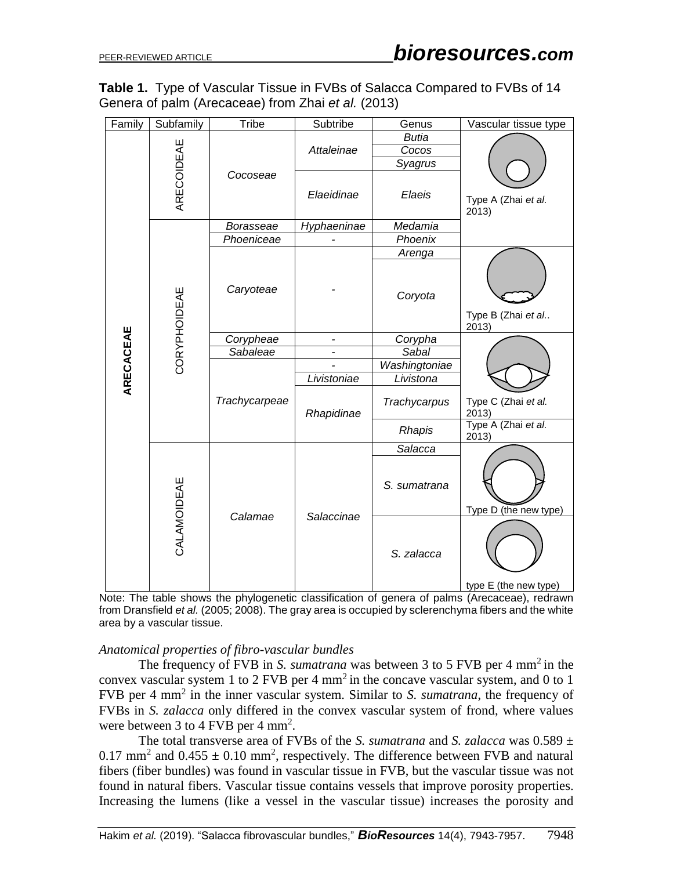|                                                    | Table 1. Type of Vascular Tissue in FVBs of Salacca Compared to FVBs of 14 |
|----------------------------------------------------|----------------------------------------------------------------------------|
| Genera of palm (Arecaceae) from Zhai et al. (2013) |                                                                            |

| Family    | Subfamily    | <b>Tribe</b>     | Subtribe    | Genus         | Vascular tissue type         |  |
|-----------|--------------|------------------|-------------|---------------|------------------------------|--|
|           |              |                  |             | <b>Butia</b>  |                              |  |
|           | ARECOIDEAE   |                  | Attaleinae  | Cocos         |                              |  |
|           |              |                  |             | Syagrus       |                              |  |
|           |              | Cocoseae         | Elaeidinae  | Elaeis        | Type A (Zhai et al.<br>2013) |  |
|           |              | <b>Borasseae</b> | Hyphaeninae | Medamia       |                              |  |
|           |              | Phoeniceae       |             | Phoenix       |                              |  |
|           |              |                  |             | Arenga        |                              |  |
|           | CORYPHOIDEAE | Caryoteae        |             | Coryota       | Type B (Zhai et al<br>2013)  |  |
| ARECACEAE |              | Corypheae        |             | Corypha       |                              |  |
|           |              | Sabaleae         |             | Sabal         |                              |  |
|           |              | Trachycarpeae    |             | Washingtoniae |                              |  |
|           |              |                  | Livistoniae | Livistona     |                              |  |
|           |              |                  | Rhapidinae  | Trachycarpus  | Type C (Zhai et al.<br>2013) |  |
|           |              |                  |             | Rhapis        | Type A (Zhai et al.<br>2013) |  |
|           | CALAMOIDEAE  |                  | Salaccinae  | Salacca       |                              |  |
|           |              |                  |             | S. sumatrana  | Type D (the new type)        |  |
|           |              | Calamae          |             | S. zalacca    | type E (the new type)        |  |

Note: The table shows the phylogenetic classification of genera of palms (Arecaceae), redrawn from Dransfield *et al.* (2005; 2008). The gray area is occupied by sclerenchyma fibers and the white area by a vascular tissue.

#### *Anatomical properties of fibro-vascular bundles*

The frequency of FVB in *S. sumatrana* was between 3 to 5 FVB per 4 mm<sup>2</sup> in the convex vascular system 1 to 2 FVB per 4 mm<sup>2</sup> in the concave vascular system, and 0 to 1 FVB per 4 mm<sup>2</sup> in the inner vascular system. Similar to *S. sumatrana*, the frequency of FVBs in *S. zalacca* only differed in the convex vascular system of frond, where values were between 3 to 4 FVB per 4  $mm<sup>2</sup>$ .

The total transverse area of FVBs of the *S. sumatrana* and *S. zalacca* was  $0.589 \pm$ 0.17 mm<sup>2</sup> and  $0.455 \pm 0.10$  mm<sup>2</sup>, respectively. The difference between FVB and natural fibers (fiber bundles) was found in vascular tissue in FVB, but the vascular tissue was not found in natural fibers. Vascular tissue contains vessels that improve porosity properties. Increasing the lumens (like a vessel in the vascular tissue) increases the porosity and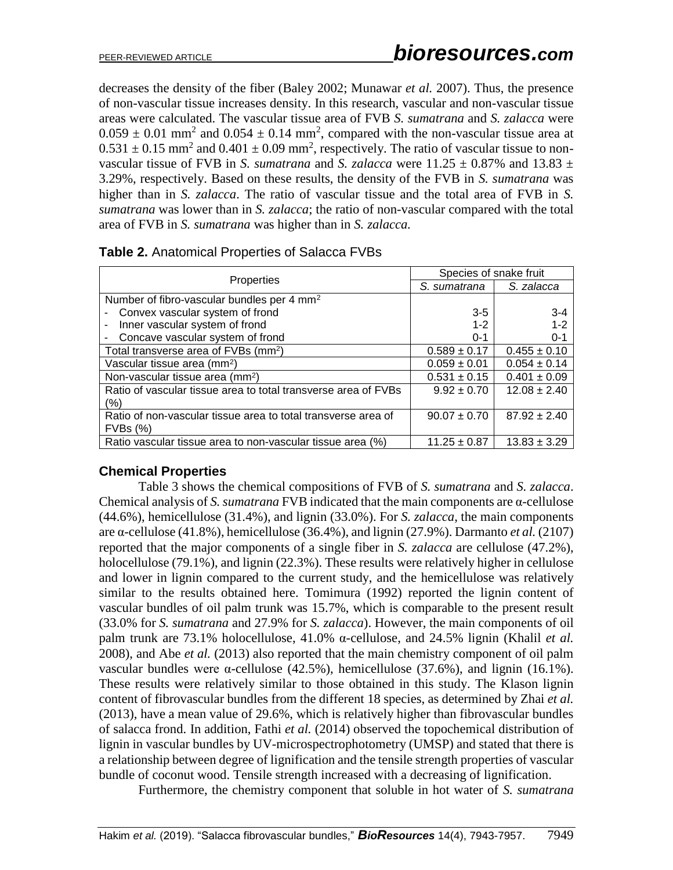decreases the density of the fiber (Baley 2002; Munawar *et al.* 2007). Thus, the presence of non-vascular tissue increases density. In this research, vascular and non-vascular tissue areas were calculated. The vascular tissue area of FVB *S. sumatrana* and *S. zalacca* were  $0.059 \pm 0.01$  mm<sup>2</sup> and  $0.054 \pm 0.14$  mm<sup>2</sup>, compared with the non-vascular tissue area at  $0.531 \pm 0.15$  mm<sup>2</sup> and  $0.401 \pm 0.09$  mm<sup>2</sup>, respectively. The ratio of vascular tissue to nonvascular tissue of FVB in *S. sumatrana* and *S. zalacca* were  $11.25 \pm 0.87\%$  and  $13.83 \pm 0.87\%$ 3.29%, respectively. Based on these results, the density of the FVB in *S. sumatrana* was higher than in *S. zalacca*. The ratio of vascular tissue and the total area of FVB in *S. sumatrana* was lower than in *S. zalacca*; the ratio of non-vascular compared with the total area of FVB in *S. sumatrana* was higher than in *S. zalacca.*

|                                                                | Species of snake fruit |                  |  |
|----------------------------------------------------------------|------------------------|------------------|--|
| Properties                                                     | S. sumatrana           | S. zalacca       |  |
| Number of fibro-vascular bundles per 4 mm <sup>2</sup>         |                        |                  |  |
| Convex vascular system of frond                                | $3 - 5$                | $3 - 4$          |  |
| Inner vascular system of frond                                 | $1 - 2$                | $1 - 2$          |  |
| Concave vascular system of frond                               | $0 - 1$                | $0 - 1$          |  |
| Total transverse area of FVBs (mm <sup>2</sup> )               | $0.589 \pm 0.17$       | $0.455 \pm 0.10$ |  |
| Vascular tissue area (mm <sup>2</sup> )                        | $0.059 \pm 0.01$       | $0.054 \pm 0.14$ |  |
| Non-vascular tissue area (mm <sup>2</sup> )                    | $0.531 \pm 0.15$       | $0.401 \pm 0.09$ |  |
| Ratio of vascular tissue area to total transverse area of FVBs | $9.92 \pm 0.70$        | $12.08 \pm 2.40$ |  |
| (%)                                                            |                        |                  |  |
| Ratio of non-vascular tissue area to total transverse area of  | $90.07 \pm 0.70$       | $87.92 \pm 2.40$ |  |
| $FVBs$ $(\%)$                                                  |                        |                  |  |
| Ratio vascular tissue area to non-vascular tissue area (%)     | $11.25 \pm 0.87$       | $13.83 \pm 3.29$ |  |

| Table 2. Anatomical Properties of Salacca FVBs |  |
|------------------------------------------------|--|
|------------------------------------------------|--|

# **Chemical Properties**

Table 3 shows the chemical compositions of FVB of *S. sumatrana* and *S. zalacca*. Chemical analysis of *S. sumatrana* FVB indicated that the main components are α-cellulose (44.6%), hemicellulose (31.4%), and lignin (33.0%). For *S. zalacca*, the main components are α-cellulose (41.8%), hemicellulose (36.4%), and lignin (27.9%). Darmanto *et al.* (2107) reported that the major components of a single fiber in *S. zalacca* are cellulose (47.2%), holocellulose (79.1%), and lignin (22.3%). These results were relatively higher in cellulose and lower in lignin compared to the current study, and the hemicellulose was relatively similar to the results obtained here. Tomimura (1992) reported the lignin content of vascular bundles of oil palm trunk was 15.7%, which is comparable to the present result (33.0% for *S. sumatrana* and 27.9% for *S. zalacca*). However, the main components of oil palm trunk are 73.1% holocellulose, 41.0% α-cellulose, and 24.5% lignin (Khalil *et al.* 2008), and Abe *et al.* (2013) also reported that the main chemistry component of oil palm vascular bundles were α-cellulose (42.5%), hemicellulose (37.6%), and lignin (16.1%). These results were relatively similar to those obtained in this study. The Klason lignin content of fibrovascular bundles from the different 18 species, as determined by Zhai *et al.* (2013), have a mean value of 29.6%, which is relatively higher than fibrovascular bundles of salacca frond. In addition, Fathi *et al.* (2014) observed the topochemical distribution of lignin in vascular bundles by UV-microspectrophotometry (UMSP) and stated that there is a relationship between degree of lignification and the tensile strength properties of vascular bundle of coconut wood. Tensile strength increased with a decreasing of lignification.

Furthermore, the chemistry component that soluble in hot water of *S. sumatrana*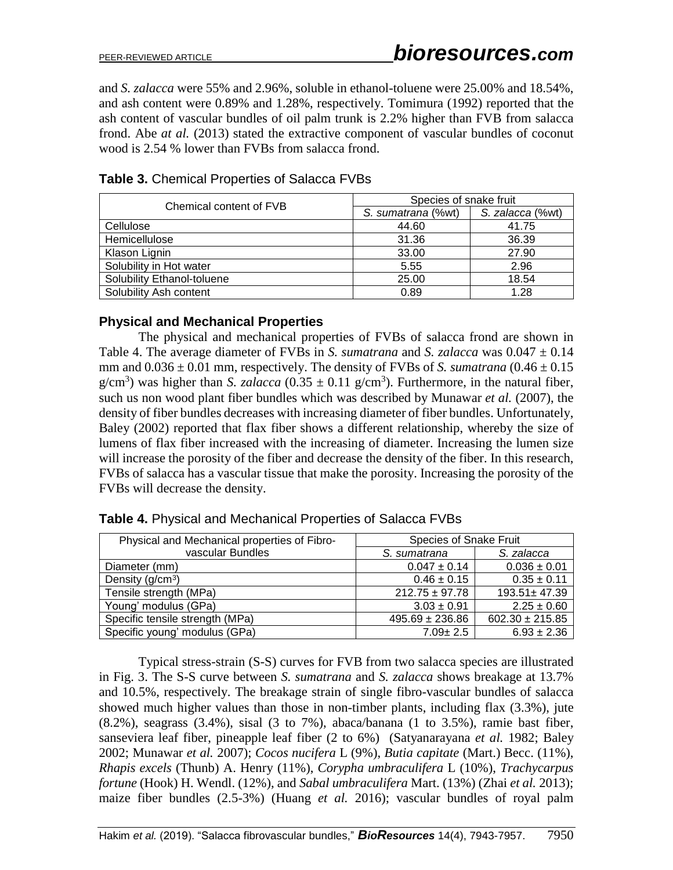and *S. zalacca* were 55% and 2.96%, soluble in ethanol-toluene were 25.00% and 18.54%, and ash content were 0.89% and 1.28%, respectively. Tomimura (1992) reported that the ash content of vascular bundles of oil palm trunk is 2.2% higher than FVB from salacca frond. Abe *at al.* (2013) stated the extractive component of vascular bundles of coconut wood is 2.54 % lower than FVBs from salacca frond.

| Chemical content of FVB    | Species of snake fruit |                  |  |
|----------------------------|------------------------|------------------|--|
|                            | S. sumatrana (%wt)     | S. zalacca (%wt) |  |
| Cellulose                  | 44.60                  | 41.75            |  |
| Hemicellulose              | 31.36                  | 36.39            |  |
| Klason Lignin              | 33.00                  | 27.90            |  |
| Solubility in Hot water    | 5.55                   | 2.96             |  |
| Solubility Ethanol-toluene | 25.00                  | 18.54            |  |
| Solubility Ash content     | 0.89                   | 1.28             |  |

# **Table 3.** Chemical Properties of Salacca FVBs

# **Physical and Mechanical Properties**

The physical and mechanical properties of FVBs of salacca frond are shown in Table 4. The average diameter of FVBs in *S. sumatrana* and *S. zalacca* was  $0.047 \pm 0.14$ mm and  $0.036 \pm 0.01$  mm, respectively. The density of FVBs of *S. sumatrana*  $(0.46 \pm 0.15)$  $g/cm<sup>3</sup>$ ) was higher than *S. zalacca* (0.35  $\pm$  0.11 g/cm<sup>3</sup>). Furthermore, in the natural fiber, such us non wood plant fiber bundles which was described by Munawar *et al.* (2007), the density of fiber bundles decreases with increasing diameter of fiber bundles. Unfortunately, Baley (2002) reported that flax fiber shows a different relationship, whereby the size of lumens of flax fiber increased with the increasing of diameter. Increasing the lumen size will increase the porosity of the fiber and decrease the density of the fiber. In this research, FVBs of salacca has a vascular tissue that make the porosity. Increasing the porosity of the FVBs will decrease the density.

| Physical and Mechanical properties of Fibro- | <b>Species of Snake Fruit</b> |                     |
|----------------------------------------------|-------------------------------|---------------------|
| vascular Bundles                             | S. sumatrana                  | S. zalacca          |
| Diameter (mm)                                | $0.047 \pm 0.14$              | $0.036 \pm 0.01$    |
| Density $(g/cm3)$                            | $0.46 \pm 0.15$               | $0.35 \pm 0.11$     |
| Tensile strength (MPa)                       | $212.75 \pm 97.78$            | $193.51 \pm 47.39$  |
| Young' modulus (GPa)                         | $3.03 \pm 0.91$               | $2.25 \pm 0.60$     |
| Specific tensile strength (MPa)              | $495.69 \pm 236.86$           | $602.30 \pm 215.85$ |
| Specific young' modulus (GPa)                | $7.09 \pm 2.5$                | $6.93 \pm 2.36$     |

**Table 4.** Physical and Mechanical Properties of Salacca FVBs

Typical stress-strain (S-S) curves for FVB from two salacca species are illustrated in Fig. 3. The S-S curve between *S. sumatrana* and *S. zalacca* shows breakage at 13.7% and 10.5%, respectively. The breakage strain of single fibro-vascular bundles of salacca showed much higher values than those in non-timber plants, including flax (3.3%), jute (8.2%), seagrass (3.4%), sisal (3 to 7%), abaca/banana (1 to 3.5%), ramie bast fiber, sanseviera leaf fiber, pineapple leaf fiber (2 to 6%) (Satyanarayana *et al.* 1982; Baley 2002; Munawar *et al.* 2007); *Cocos nucifera* L (9%), *Butia capitate* (Mart.) Becc. (11%), *Rhapis excels* (Thunb) A. Henry (11%), *Corypha umbraculifera* L (10%), *Trachycarpus fortune* (Hook) H. Wendl. (12%), and *Sabal umbraculifera* Mart. (13%) (Zhai *et al.* 2013); maize fiber bundles (2.5-3%) (Huang *et al.* 2016); vascular bundles of royal palm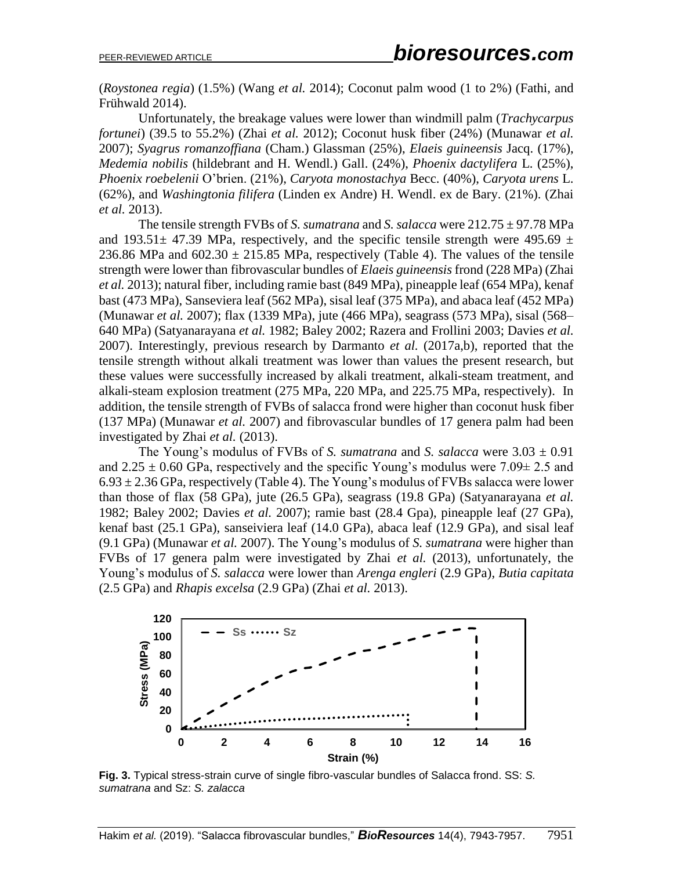(*Roystonea regia*) (1.5%) (Wang *et al.* 2014); Coconut palm wood (1 to 2%) (Fathi, and Frühwald 2014).

Unfortunately, the breakage values were lower than windmill palm (*Trachycarpus fortunei*) (39.5 to 55.2%) (Zhai *et al.* 2012); Coconut husk fiber (24%) (Munawar *et al.* 2007); *Syagrus romanzoffiana* (Cham.) Glassman (25%), *Elaeis guineensis* Jacq. (17%), *Medemia nobilis* (hildebrant and H. Wendl.) Gall. (24%), *Phoenix dactylifera* L. (25%), *Phoenix roebelenii* O'brien. (21%), *Caryota monostachya* Becc. (40%), *Caryota urens* L. (62%), and *Washingtonia filifera* (Linden ex Andre) H. Wendl. ex de Bary. (21%). (Zhai *et al.* 2013).

The tensile strength FVBs of *S. sumatrana* and *S. salacca* were 212.75 ± 97.78 MPa and 193.51 $\pm$  47.39 MPa, respectively, and the specific tensile strength were 495.69  $\pm$ 236.86 MPa and  $602.30 \pm 215.85$  MPa, respectively (Table 4). The values of the tensile strength were lower than fibrovascular bundles of *Elaeis guineensis* frond (228 MPa) (Zhai *et al.* 2013); natural fiber, including ramie bast (849 MPa), pineapple leaf (654 MPa), kenaf bast (473 MPa), Sanseviera leaf (562 MPa), sisal leaf (375 MPa), and abaca leaf (452 MPa) (Munawar *et al.* 2007); flax (1339 MPa), jute (466 MPa), seagrass (573 MPa), sisal (568– 640 MPa) (Satyanarayana *et al.* 1982; Baley 2002; Razera and Frollini 2003; Davies *et al.* 2007). Interestingly, previous research by Darmanto *et al.* (2017a,b), reported that the tensile strength without alkali treatment was lower than values the present research, but these values were successfully increased by alkali treatment, alkali-steam treatment, and alkali-steam explosion treatment (275 MPa, 220 MPa, and 225.75 MPa, respectively). In addition, the tensile strength of FVBs of salacca frond were higher than coconut husk fiber (137 MPa) (Munawar *et al.* 2007) and fibrovascular bundles of 17 genera palm had been investigated by Zhai *et al.* (2013).

The Young's modulus of FVBs of *S. sumatrana* and *S. salacca* were  $3.03 \pm 0.91$ and  $2.25 \pm 0.60$  GPa, respectively and the specific Young's modulus were  $7.09 \pm 2.5$  and  $6.93 \pm 2.36$  GPa, respectively (Table 4). The Young's modulus of FVBs salacca were lower than those of flax (58 GPa), jute (26.5 GPa), seagrass (19.8 GPa) (Satyanarayana *et al.* 1982; Baley 2002; Davies *et al.* 2007); ramie bast (28.4 Gpa), pineapple leaf (27 GPa), kenaf bast (25.1 GPa), sanseiviera leaf (14.0 GPa), abaca leaf (12.9 GPa), and sisal leaf (9.1 GPa) (Munawar *et al.* 2007). The Young's modulus of *S. sumatrana* were higher than FVBs of 17 genera palm were investigated by Zhai *et al.* (2013), unfortunately, the Young's modulus of *S. salacca* were lower than *Arenga engleri* (2.9 GPa), *Butia capitata* (2.5 GPa) and *Rhapis excelsa* (2.9 GPa) (Zhai *et al.* 2013).



**Fig. 3.** Typical stress-strain curve of single fibro-vascular bundles of Salacca frond. SS: *S. sumatrana* and Sz: *S. zalacca*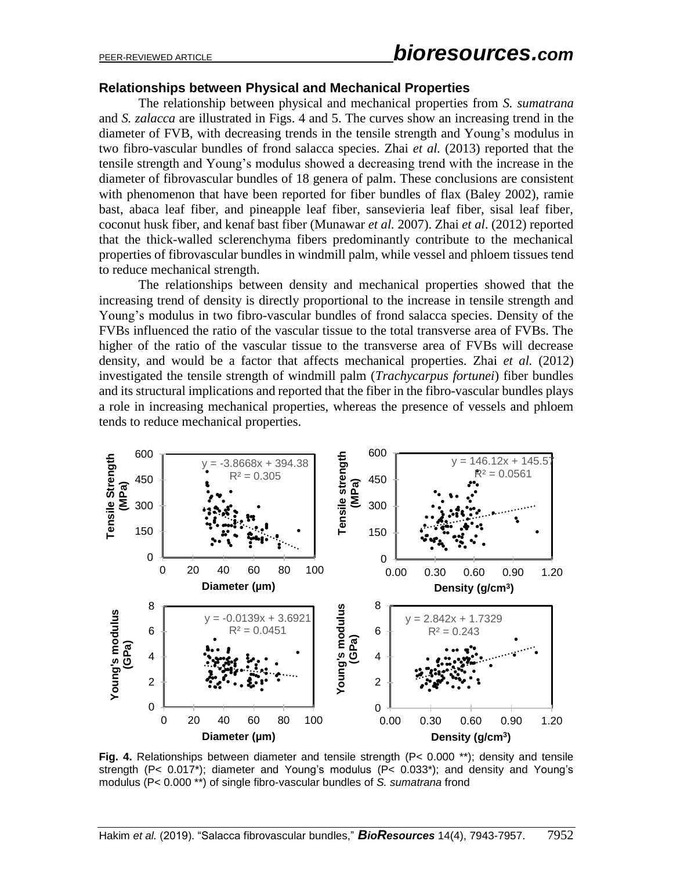#### **Relationships between Physical and Mechanical Properties**

The relationship between physical and mechanical properties from *S. sumatrana* and *S. zalacca* are illustrated in Figs. 4 and 5. The curves show an increasing trend in the diameter of FVB, with decreasing trends in the tensile strength and Young's modulus in two fibro-vascular bundles of frond salacca species. Zhai *et al.* (2013) reported that the tensile strength and Young's modulus showed a decreasing trend with the increase in the diameter of fibrovascular bundles of 18 genera of palm. These conclusions are consistent with phenomenon that have been reported for fiber bundles of flax (Baley 2002), ramie bast, abaca leaf fiber, and pineapple leaf fiber, sansevieria leaf fiber, sisal leaf fiber, coconut husk fiber, and kenaf bast fiber (Munawar *et al.* 2007). Zhai *et al*. (2012) reported that the thick-walled sclerenchyma fibers predominantly contribute to the mechanical properties of fibrovascular bundles in windmill palm, while vessel and phloem tissues tend to reduce mechanical strength.

The relationships between density and mechanical properties showed that the increasing trend of density is directly proportional to the increase in tensile strength and Young's modulus in two fibro-vascular bundles of frond salacca species. Density of the FVBs influenced the ratio of the vascular tissue to the total transverse area of FVBs. The higher of the ratio of the vascular tissue to the transverse area of FVBs will decrease density, and would be a factor that affects mechanical properties. Zhai *et al.* (2012) investigated the tensile strength of windmill palm (*Trachycarpus fortunei*) fiber bundles and its structural implications and reported that the fiber in the fibro-vascular bundles plays a role in increasing mechanical properties, whereas the presence of vessels and phloem tends to reduce mechanical properties.



**Fig. 4.** Relationships between diameter and tensile strength (P< 0.000 \*\*); density and tensile strength (P< 0.017\*); diameter and Young's modulus (P< 0.033\*); and density and Young's modulus (P< 0.000 \*\*) of single fibro-vascular bundles of *S. sumatrana* frond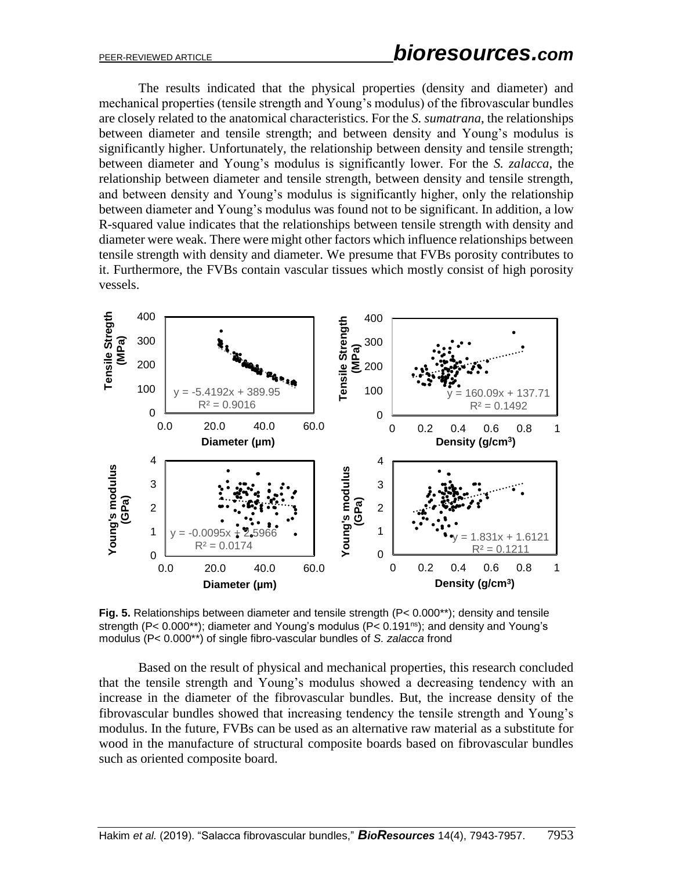The results indicated that the physical properties (density and diameter) and mechanical properties (tensile strength and Young's modulus) of the fibrovascular bundles are closely related to the anatomical characteristics. For the *S. sumatrana*, the relationships between diameter and tensile strength; and between density and Young's modulus is significantly higher. Unfortunately, the relationship between density and tensile strength; between diameter and Young's modulus is significantly lower. For the *S. zalacca*, the relationship between diameter and tensile strength, between density and tensile strength, and between density and Young's modulus is significantly higher, only the relationship between diameter and Young's modulus was found not to be significant. In addition, a low R-squared value indicates that the relationships between tensile strength with density and diameter were weak. There were might other factors which influence relationships between tensile strength with density and diameter. We presume that FVBs porosity contributes to it. Furthermore, the FVBs contain vascular tissues which mostly consist of high porosity vessels.



**Fig. 5.** Relationships between diameter and tensile strength (P< 0.000\*\*); density and tensile strength (P< 0.000\*\*); diameter and Young's modulus (P< 0.191<sup>ns</sup>); and density and Young's modulus (P< 0.000\*\*) of single fibro-vascular bundles of *S. zalacca* frond

Based on the result of physical and mechanical properties, this research concluded that the tensile strength and Young's modulus showed a decreasing tendency with an increase in the diameter of the fibrovascular bundles. But, the increase density of the fibrovascular bundles showed that increasing tendency the tensile strength and Young's modulus. In the future, FVBs can be used as an alternative raw material as a substitute for wood in the manufacture of structural composite boards based on fibrovascular bundles such as oriented composite board.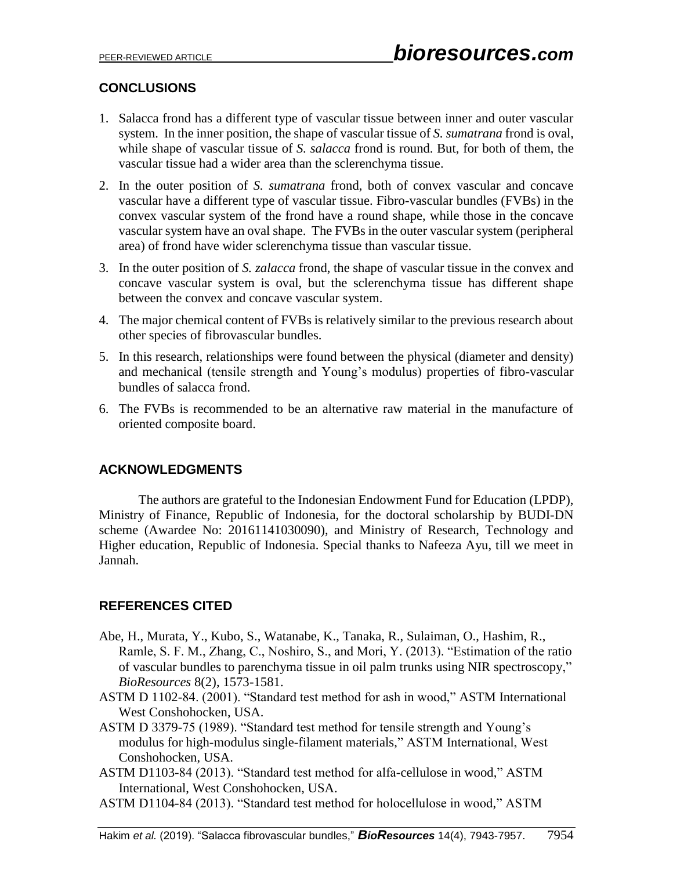# **CONCLUSIONS**

- 1. Salacca frond has a different type of vascular tissue between inner and outer vascular system. In the inner position, the shape of vascular tissue of *S. sumatrana* frond is oval, while shape of vascular tissue of *S. salacca* frond is round. But, for both of them, the vascular tissue had a wider area than the sclerenchyma tissue.
- 2. In the outer position of *S. sumatrana* frond, both of convex vascular and concave vascular have a different type of vascular tissue. Fibro-vascular bundles (FVBs) in the convex vascular system of the frond have a round shape, while those in the concave vascular system have an oval shape. The FVBs in the outer vascular system (peripheral area) of frond have wider sclerenchyma tissue than vascular tissue.
- 3. In the outer position of *S. zalacca* frond, the shape of vascular tissue in the convex and concave vascular system is oval, but the sclerenchyma tissue has different shape between the convex and concave vascular system.
- 4. The major chemical content of FVBs is relatively similar to the previous research about other species of fibrovascular bundles.
- 5. In this research, relationships were found between the physical (diameter and density) and mechanical (tensile strength and Young's modulus) properties of fibro-vascular bundles of salacca frond.
- 6. The FVBs is recommended to be an alternative raw material in the manufacture of oriented composite board.

# **ACKNOWLEDGMENTS**

The authors are grateful to the Indonesian Endowment Fund for Education (LPDP), Ministry of Finance, Republic of Indonesia, for the doctoral scholarship by BUDI-DN scheme (Awardee No: 20161141030090), and Ministry of Research, Technology and Higher education, Republic of Indonesia. Special thanks to Nafeeza Ayu, till we meet in Jannah.

# **REFERENCES CITED**

- Abe, H., Murata, Y., Kubo, S., Watanabe, K., Tanaka, R., Sulaiman, O., Hashim, R., Ramle, S. F. M., Zhang, C., Noshiro, S., and Mori, Y. (2013). "Estimation of the ratio of vascular bundles to parenchyma tissue in oil palm trunks using NIR spectroscopy," *BioResources* 8(2), 1573-1581.
- ASTM D 1102-84. (2001). "Standard test method for ash in wood," ASTM International West Conshohocken, USA.
- ASTM D 3379-75 (1989). "Standard test method for tensile strength and Young's modulus for high-modulus single-filament materials," ASTM International, West Conshohocken, USA.
- ASTM D1103-84 (2013). "Standard test method for alfa-cellulose in wood," ASTM International, West Conshohocken, USA.
- ASTM D1104-84 (2013). "Standard test method for holocellulose in wood," ASTM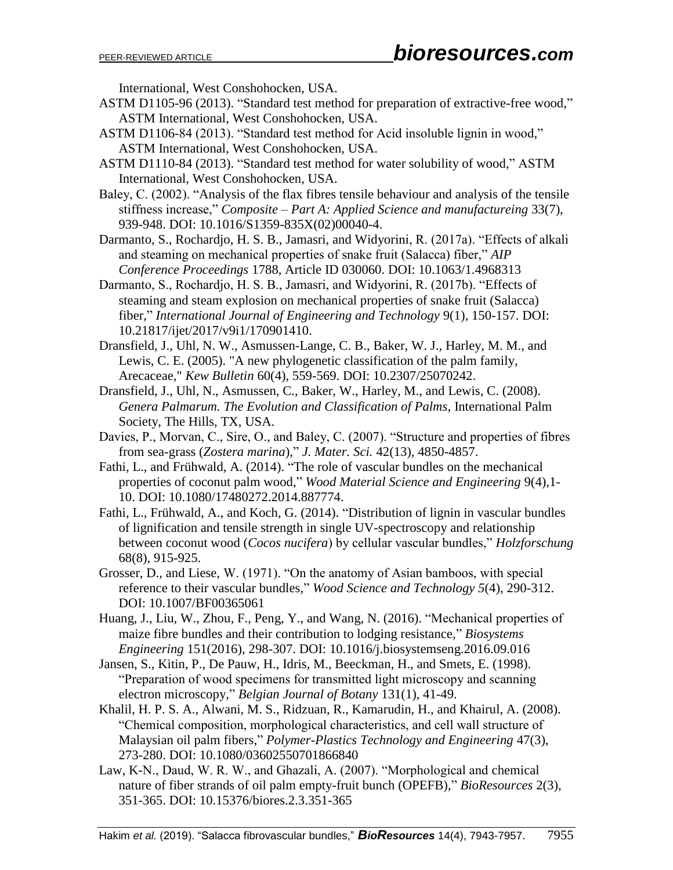International, West Conshohocken, USA.

- ASTM D1105-96 (2013). "Standard test method for preparation of extractive-free wood," ASTM International, West Conshohocken, USA.
- ASTM D1106-84 (2013). "Standard test method for Acid insoluble lignin in wood," ASTM International, West Conshohocken, USA.
- ASTM D1110-84 (2013). "Standard test method for water solubility of wood," ASTM International, West Conshohocken, USA.
- Baley, C. (2002). "Analysis of the flax fibres tensile behaviour and analysis of the tensile stiffness increase," *Composite – Part A: Applied Science and manufactureing* 33(7), 939-948. DOI: 10.1016/S1359-835X(02)00040-4.

Darmanto, S., Rochardjo, H. S. B., Jamasri, and Widyorini, R. (2017a). "Effects of alkali and steaming on mechanical properties of snake fruit (Salacca) fiber," *AIP Conference Proceedings* 1788, Article ID 030060. DOI: 10.1063/1.4968313

Darmanto, S., Rochardjo, H. S. B., Jamasri, and Widyorini, R. (2017b). "Effects of steaming and steam explosion on mechanical properties of snake fruit (Salacca) fiber," *International Journal of Engineering and Technology* 9(1), 150-157. DOI: 10.21817/ijet/2017/v9i1/170901410.

Dransfield, J., Uhl, N. W., Asmussen-Lange, C. B., Baker, W. J., Harley, M. M., and Lewis, C. E. (2005). "A new phylogenetic classification of the palm family, Arecaceae," *Kew Bulletin* 60(4), 559-569. DOI: 10.2307/25070242.

Dransfield, J., Uhl, N., Asmussen, C., Baker, W., Harley, M., and Lewis, C. (2008). *Genera Palmarum. The Evolution and Classification of Palms*, International Palm Society, The Hills, TX, USA.

Davies, P., Morvan, C., Sire, O., and Baley, C. (2007). "Structure and properties of fibres from sea-grass (*Zostera marina*)," *J. Mater. Sci.* 42(13), 4850-4857.

Fathi, L., and Frühwald, A. (2014). "The role of vascular bundles on the mechanical properties of coconut palm wood," *Wood Material Science and Engineering* 9(4),1- 10. DOI: 10.1080/17480272.2014.887774.

- Fathi, L., Frühwald, A., and Koch, G. (2014). "Distribution of lignin in vascular bundles of lignification and tensile strength in single UV-spectroscopy and relationship between coconut wood (*Cocos nucifera*) by cellular vascular bundles," *Holzforschung*  68(8), 915-925.
- Grosser, D., and Liese, W. (1971). "On the anatomy of Asian bamboos, with special reference to their vascular bundles," *Wood Science and Technology 5*(4), 290-312. [DOI: 10.1007/BF00365061](https://doi.org/10.1007/BF00365061)
- Huang, J., Liu, W., Zhou, F., Peng, Y., and Wang, N. (2016). "Mechanical properties of maize fibre bundles and their contribution to lodging resistance," *Biosystems Engineering* 151(2016), 298-307. DOI: 10.1016/j.biosystemseng.2016.09.016
- Jansen, S., Kitin, P., De Pauw, H., Idris, M., Beeckman, H., and Smets, E. (1998). "Preparation of wood specimens for transmitted light microscopy and scanning electron microscopy," *Belgian Journal of Botany* 131(1), 41-49.
- Khalil, H. P. S. A., Alwani, M. S., Ridzuan, R., Kamarudin, H., and Khairul, A. (2008). "Chemical composition, morphological characteristics, and cell wall structure of Malaysian oil palm fibers," *Polymer-Plastics Technology and Engineering* 47(3), 273-280. DOI: 10.1080/03602550701866840
- Law, K-N., Daud, W. R. W., and Ghazali, A. (2007). "Morphological and chemical nature of fiber strands of oil palm empty-fruit bunch (OPEFB)," *BioResources* 2(3), 351-365. DOI: 10.15376/biores.2.3.351-365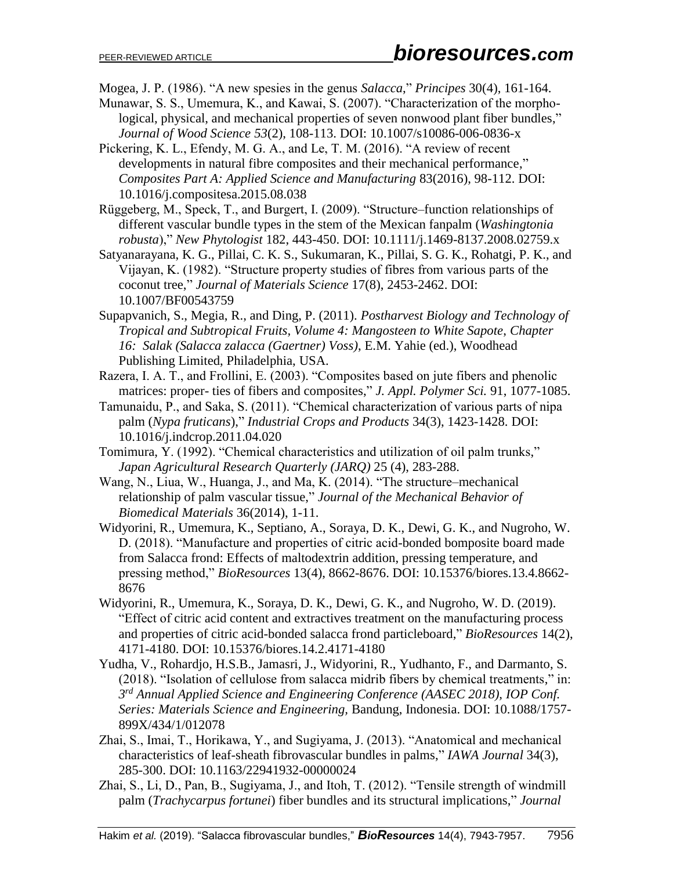Mogea, J. P. (1986). "A new spesies in the genus *Salacca*," *Principes* 30(4), 161-164.

- Munawar, S. S., Umemura, K., and Kawai, S. (2007). "Characterization of the morphological, physical, and mechanical properties of seven nonwood plant fiber bundles," *Journal of Wood Science 53*(2), 108-113. DOI: 10.1007/s10086-006-0836-x
- Pickering, K. L., Efendy, M. G. A., and Le, T. M. (2016). "A review of recent developments in natural fibre composites and their mechanical performance," *Composites Part A: Applied Science and Manufacturing* 83(2016), 98-112. [DOI:](https://doi.org/10.1016/j.compositesa.2015.08.038)  [10.1016/j.compositesa.2015.08.038](https://doi.org/10.1016/j.compositesa.2015.08.038)
- Rüggeberg, M., Speck, T., and Burgert, I. (2009). "Structure–function relationships of different vascular bundle types in the stem of the Mexican fanpalm (*Washingtonia robusta*)," *New Phytologist* 182, 443-450. DOI: 10.1111/j.1469-8137.2008.02759.x
- Satyanarayana, K. G., Pillai, C. K. S., Sukumaran, K., Pillai, S. G. K., Rohatgi, P. K., and Vijayan, K. (1982). "Structure property studies of fibres from various parts of the coconut tree," *Journal of Materials Science* 17(8), 2453-2462. DOI: 10.1007/BF00543759
- Supapvanich, S., Megia, R., and Ding, P. (2011). *Postharvest Biology and Technology of Tropical and Subtropical Fruits, Volume 4: Mangosteen to White Sapote*, *Chapter 16: Salak (Salacca zalacca (Gaertner) Voss)*, E.M. Yahie (ed.), Woodhead Publishing Limited, Philadelphia, USA.
- Razera, I. A. T., and Frollini, E. (2003). "Composites based on jute fibers and phenolic matrices: proper- ties of fibers and composites," *J. Appl. Polymer Sci.* 91, 1077-1085.
- Tamunaidu, P., and Saka, S. (2011). "Chemical characterization of various parts of nipa palm (*Nypa fruticans*)," *Industrial Crops and Products* 34(3), 1423-1428. DOI: 10.1016/j.indcrop.2011.04.020
- Tomimura, Y. (1992). "Chemical characteristics and utilization of oil palm trunks," *Japan Agricultural Research Quarterly (JARQ)* 25 (4), 283-288.
- Wang, N., Liua, W., Huanga, J., and Ma, K. (2014). "The structure–mechanical relationship of palm vascular tissue," *Journal of the Mechanical Behavior of Biomedical Materials* 36(2014), 1-11.
- Widyorini, R., Umemura, K., Septiano, A., Soraya, D. K., Dewi, G. K., and Nugroho, W. D. (2018). "Manufacture and properties of citric acid-bonded bomposite board made from Salacca frond: Effects of maltodextrin addition, pressing temperature, and pressing method," *BioResources* 13(4), 8662-8676. DOI: 10.15376/biores.13.4.8662- 8676
- Widyorini, R., Umemura, K., Soraya, D. K., Dewi, G. K., and Nugroho, W. D. (2019). "Effect of citric acid content and extractives treatment on the manufacturing process and properties of citric acid-bonded salacca frond particleboard," *BioResources* 14(2), 4171-4180. DOI: 10.15376/biores.14.2.4171-4180
- Yudha, V., Rohardjo, H.S.B., Jamasri, J., Widyorini, R., Yudhanto, F., and Darmanto, S. (2018). "Isolation of cellulose from salacca midrib fibers by chemical treatments," in: *3 rd Annual Applied Science and Engineering Conference (AASEC 2018), IOP Conf. Series: Materials Science and Engineering,* Bandung, Indonesia. DOI: 10.1088/1757- 899X/434/1/012078
- Zhai, S., Imai, T., Horikawa, Y., and Sugiyama, J. (2013). "Anatomical and mechanical characteristics of leaf-sheath fibrovascular bundles in palms," *IAWA Journal* 34(3), 285-300. DOI: 10.1163/22941932-00000024
- Zhai, S., Li, D., Pan, B., Sugiyama, J., and Itoh, T. (2012). "Tensile strength of windmill palm (*Trachycarpus fortunei*) fiber bundles and its structural implications," *Journal*